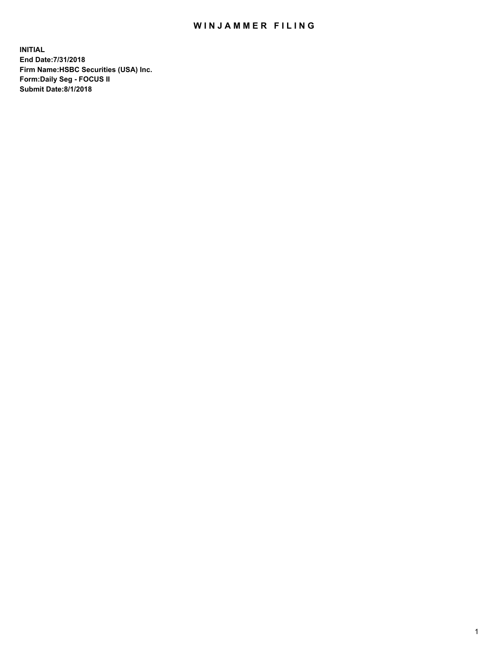## WIN JAMMER FILING

**INITIAL End Date:7/31/2018 Firm Name:HSBC Securities (USA) Inc. Form:Daily Seg - FOCUS II Submit Date:8/1/2018**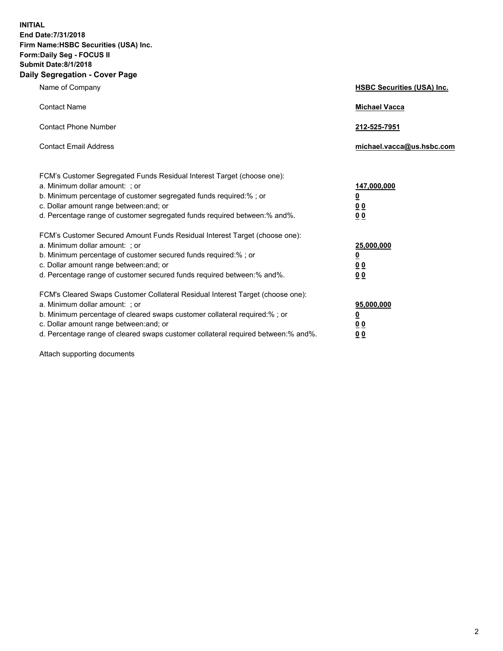**INITIAL End Date:7/31/2018 Firm Name:HSBC Securities (USA) Inc. Form:Daily Seg - FOCUS II Submit Date:8/1/2018 Daily Segregation - Cover Page**

| Name of Company                                                                                                                                                                                                                                                                                                               | <b>HSBC Securities (USA) Inc.</b>                          |
|-------------------------------------------------------------------------------------------------------------------------------------------------------------------------------------------------------------------------------------------------------------------------------------------------------------------------------|------------------------------------------------------------|
| <b>Contact Name</b>                                                                                                                                                                                                                                                                                                           | <b>Michael Vacca</b>                                       |
| <b>Contact Phone Number</b>                                                                                                                                                                                                                                                                                                   | 212-525-7951                                               |
| <b>Contact Email Address</b>                                                                                                                                                                                                                                                                                                  | michael.vacca@us.hsbc.com                                  |
| FCM's Customer Segregated Funds Residual Interest Target (choose one):<br>a. Minimum dollar amount: : or<br>b. Minimum percentage of customer segregated funds required:% ; or<br>c. Dollar amount range between: and; or<br>d. Percentage range of customer segregated funds required between:% and%.                        | 147,000,000<br><u>0</u><br>0 <sub>0</sub><br>00            |
| FCM's Customer Secured Amount Funds Residual Interest Target (choose one):<br>a. Minimum dollar amount: ; or<br>b. Minimum percentage of customer secured funds required:%; or<br>c. Dollar amount range between: and; or<br>d. Percentage range of customer secured funds required between:% and%.                           | 25,000,000<br><u>0</u><br>0 <sub>0</sub><br>0 <sub>0</sub> |
| FCM's Cleared Swaps Customer Collateral Residual Interest Target (choose one):<br>a. Minimum dollar amount: ; or<br>b. Minimum percentage of cleared swaps customer collateral required:%; or<br>c. Dollar amount range between: and; or<br>d. Percentage range of cleared swaps customer collateral required between:% and%. | 95,000,000<br><u>0</u><br><u>00</u><br>00                  |

Attach supporting documents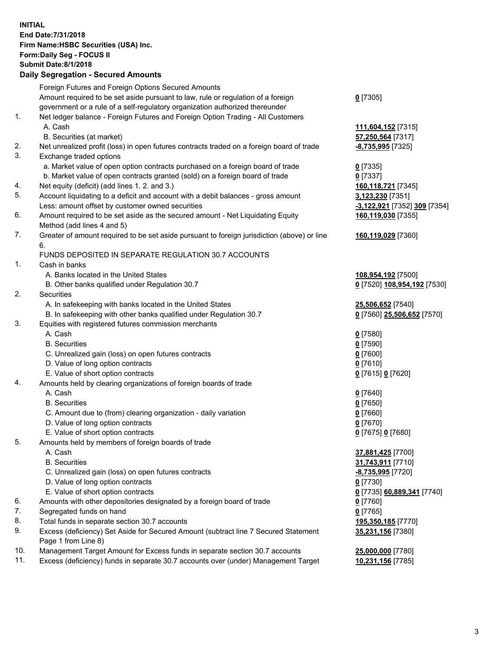**INITIAL End Date:7/31/2018 Firm Name:HSBC Securities (USA) Inc. Form:Daily Seg - FOCUS II Submit Date:8/1/2018 Daily Segregation - Secured Amounts** Foreign Futures and Foreign Options Secured Amounts Amount required to be set aside pursuant to law, rule or regulation of a foreign government or a rule of a self-regulatory organization authorized thereunder **0** [7305] 1. Net ledger balance - Foreign Futures and Foreign Option Trading - All Customers A. Cash **111,604,152** [7315] B. Securities (at market) **57,250,564** [7317] 2. Net unrealized profit (loss) in open futures contracts traded on a foreign board of trade **-8,735,995** [7325] 3. Exchange traded options a. Market value of open option contracts purchased on a foreign board of trade **0** [7335] b. Market value of open contracts granted (sold) on a foreign board of trade **0** [7337] 4. Net equity (deficit) (add lines 1. 2. and 3.) **160,118,721** [7345] 5. Account liquidating to a deficit and account with a debit balances - gross amount **3,123,230** [7351] Less: amount offset by customer owned securities **-3,122,921** [7352] **309** [7354] 6. Amount required to be set aside as the secured amount - Net Liquidating Equity Method (add lines 4 and 5) **160,119,030** [7355] 7. Greater of amount required to be set aside pursuant to foreign jurisdiction (above) or line 6. **160,119,029** [7360] FUNDS DEPOSITED IN SEPARATE REGULATION 30.7 ACCOUNTS 1. Cash in banks A. Banks located in the United States **108,954,192** [7500] B. Other banks qualified under Regulation 30.7 **0** [7520] **108,954,192** [7530] 2. Securities A. In safekeeping with banks located in the United States **25,506,652** [7540] B. In safekeeping with other banks qualified under Regulation 30.7 **0** [7560] **25,506,652** [7570] 3. Equities with registered futures commission merchants A. Cash **0** [7580] B. Securities **0** [7590] C. Unrealized gain (loss) on open futures contracts **0** [7600] D. Value of long option contracts **0** [7610] E. Value of short option contracts **0** [7615] **0** [7620] 4. Amounts held by clearing organizations of foreign boards of trade A. Cash **0** [7640] B. Securities **0** [7650] C. Amount due to (from) clearing organization - daily variation **0** [7660] D. Value of long option contracts **0** [7670] E. Value of short option contracts **0** [7675] **0** [7680] 5. Amounts held by members of foreign boards of trade A. Cash **37,881,425** [7700] B. Securities **31,743,911** [7710] C. Unrealized gain (loss) on open futures contracts **-8,735,995** [7720] D. Value of long option contracts **0** [7730] E. Value of short option contracts **0** [7735] **60,889,341** [7740] 6. Amounts with other depositories designated by a foreign board of trade **0** [7760] 7. Segregated funds on hand **0** [7765] 8. Total funds in separate section 30.7 accounts **195,350,185** [7770] 9. Excess (deficiency) Set Aside for Secured Amount (subtract line 7 Secured Statement Page 1 from Line 8) **35,231,156** [7380] 10. Management Target Amount for Excess funds in separate section 30.7 accounts **25,000,000** [7780] 11. Excess (deficiency) funds in separate 30.7 accounts over (under) Management Target **10,231,156** [7785]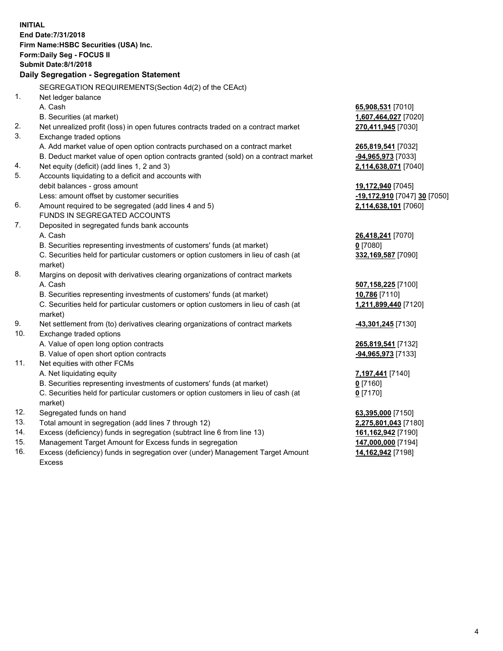|     | <b>INITIAL</b>                                                                      |                              |
|-----|-------------------------------------------------------------------------------------|------------------------------|
|     | End Date: 7/31/2018                                                                 |                              |
|     | Firm Name: HSBC Securities (USA) Inc.                                               |                              |
|     | <b>Form:Daily Seg - FOCUS II</b>                                                    |                              |
|     | <b>Submit Date: 8/1/2018</b>                                                        |                              |
|     | Daily Segregation - Segregation Statement                                           |                              |
|     | SEGREGATION REQUIREMENTS(Section 4d(2) of the CEAct)                                |                              |
| 1.  | Net ledger balance                                                                  |                              |
|     | A. Cash                                                                             | 65,908,531 [7010]            |
|     | B. Securities (at market)                                                           | 1,607,464,027 [7020]         |
| 2.  | Net unrealized profit (loss) in open futures contracts traded on a contract market  |                              |
| 3.  | Exchange traded options                                                             | 270,411,945 [7030]           |
|     | A. Add market value of open option contracts purchased on a contract market         |                              |
|     | B. Deduct market value of open option contracts granted (sold) on a contract market | 265,819,541 [7032]           |
| 4.  | Net equity (deficit) (add lines 1, 2 and 3)                                         | <u>-94,965,973</u> [7033]    |
| 5.  | Accounts liquidating to a deficit and accounts with                                 | 2,114,638,071 [7040]         |
|     | debit balances - gross amount                                                       | 19,172,940 [7045]            |
|     | Less: amount offset by customer securities                                          | -19,172,910 [7047] 30 [7050] |
| 6.  | Amount required to be segregated (add lines 4 and 5)                                | 2,114,638,101 [7060]         |
|     | <b>FUNDS IN SEGREGATED ACCOUNTS</b>                                                 |                              |
| 7.  | Deposited in segregated funds bank accounts                                         |                              |
|     | A. Cash                                                                             | 26,418,241 [7070]            |
|     | B. Securities representing investments of customers' funds (at market)              | $0$ [7080]                   |
|     | C. Securities held for particular customers or option customers in lieu of cash (at | 332,169,587 [7090]           |
|     | market)                                                                             |                              |
| 8.  | Margins on deposit with derivatives clearing organizations of contract markets      |                              |
|     | A. Cash                                                                             | 507,158,225 [7100]           |
|     | B. Securities representing investments of customers' funds (at market)              | 10,786 [7110]                |
|     | C. Securities held for particular customers or option customers in lieu of cash (at | 1,211,899,440 [7120]         |
|     | market)                                                                             |                              |
| 9.  | Net settlement from (to) derivatives clearing organizations of contract markets     | -43,301,245 [7130]           |
| 10. | Exchange traded options                                                             |                              |
|     | A. Value of open long option contracts                                              | 265,819,541 [7132]           |
|     | B. Value of open short option contracts                                             | -94,965,973 [7133]           |
| 11. | Net equities with other FCMs                                                        |                              |
|     | A. Net liquidating equity                                                           | <u>7,197,441</u> [7140]      |
|     | B. Securities representing investments of customers' funds (at market)              | <u>0</u> [7160]              |
|     | C. Securities held for particular customers or option customers in lieu of cash (at | $0$ [7170]                   |
|     | market)                                                                             |                              |
| 12. | Segregated funds on hand                                                            | 63,395,000 [7150]            |
| 13. | Total amount in segregation (add lines 7 through 12)                                | 2,275,801,043 [7180]         |
| 14. | Excess (deficiency) funds in segregation (subtract line 6 from line 13)             | 161,162,942 [7190]           |
| 15. | Management Target Amount for Excess funds in segregation                            | 147,000,000 [7194]           |

16. Excess (deficiency) funds in segregation over (under) Management Target Amount Excess

**14,162,942** [7198]